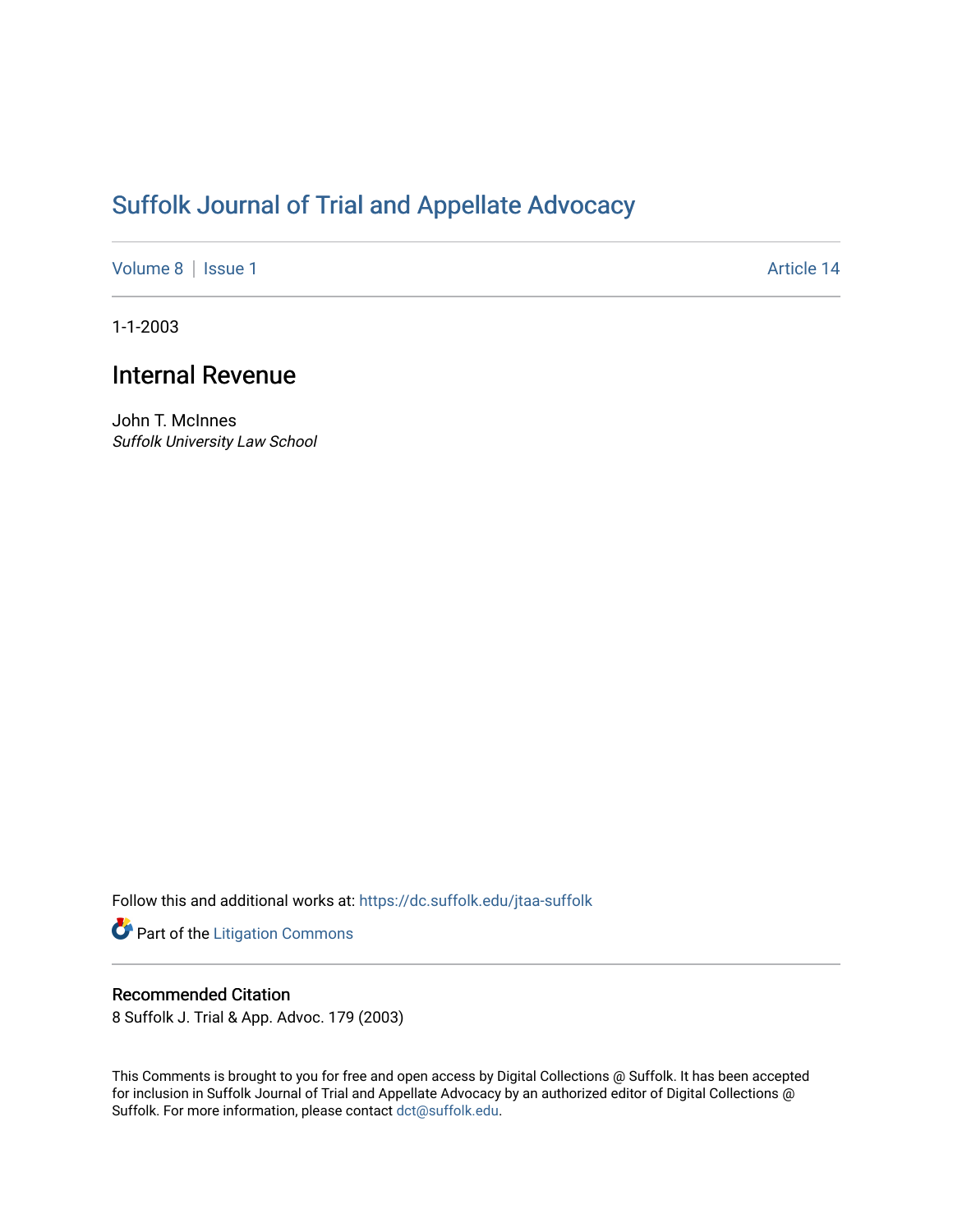## [Suffolk Journal of Trial and Appellate Advocacy](https://dc.suffolk.edu/jtaa-suffolk)

[Volume 8](https://dc.suffolk.edu/jtaa-suffolk/vol8) | [Issue 1](https://dc.suffolk.edu/jtaa-suffolk/vol8/iss1) Article 14

1-1-2003

## Internal Revenue

John T. McInnes Suffolk University Law School

Follow this and additional works at: [https://dc.suffolk.edu/jtaa-suffolk](https://dc.suffolk.edu/jtaa-suffolk?utm_source=dc.suffolk.edu%2Fjtaa-suffolk%2Fvol8%2Fiss1%2F14&utm_medium=PDF&utm_campaign=PDFCoverPages) 

Part of the [Litigation Commons](https://network.bepress.com/hgg/discipline/910?utm_source=dc.suffolk.edu%2Fjtaa-suffolk%2Fvol8%2Fiss1%2F14&utm_medium=PDF&utm_campaign=PDFCoverPages)

## Recommended Citation

8 Suffolk J. Trial & App. Advoc. 179 (2003)

This Comments is brought to you for free and open access by Digital Collections @ Suffolk. It has been accepted for inclusion in Suffolk Journal of Trial and Appellate Advocacy by an authorized editor of Digital Collections @ Suffolk. For more information, please contact [dct@suffolk.edu.](mailto:dct@suffolk.edu)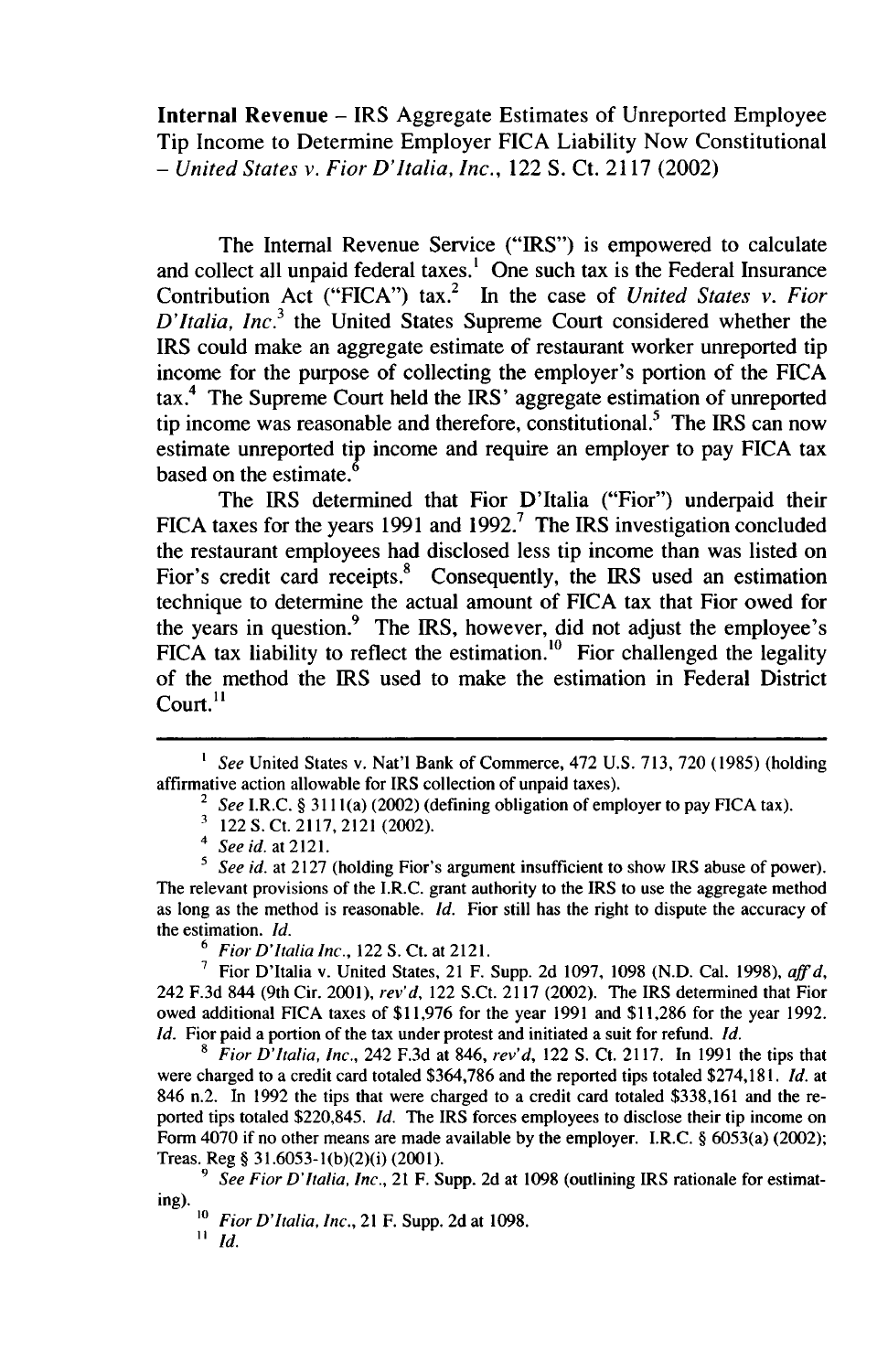Internal Revenue - IRS Aggregate Estimates of Unreported Employee Tip Income to Determine Employer FICA Liability Now Constitutional - *United States v. Fior D'Italia, Inc.,* 122 **S.** Ct. 2117 (2002)

The Internal Revenue Service ("IRS") is empowered to calculate and collect all unpaid federal taxes.' One such tax is the Federal Insurance Contribution Act ("FICA") tax.2 In the case of *United States v. Fior D'Italia, Inc.<sup>3</sup>*the United States Supreme Court considered whether the IRS could make an aggregate estimate of restaurant worker unreported tip income for the purpose of collecting the employer's portion of the FICA tax.4 The Supreme Court held the IRS' aggregate estimation of unreported tip income was reasonable and therefore, constitutional.<sup>5</sup> The IRS can now estimate unreported tip income and require an employer to pay FICA tax based on the estimate.'

The IRS determined that Fior D'Italia ("Fior") underpaid their FICA taxes for the years 1991 and 1992.<sup>7</sup> The IRS investigation concluded the restaurant employees had disclosed less tip income than was listed on Fior's credit card receipts.<sup>8</sup> Consequently, the IRS used an estimation technique to determine the actual amount of FICA tax that Fior owed for the years in question.9 The IRS, however, did not adjust the employee's FICA tax liability to reflect the estimation.<sup>10</sup> Fior challenged the legality of the method the IRS used to make the estimation in Federal District Court.<sup>11</sup>

8 *Fior D'Italia, Inc.,* 242 F.3d at 846, *rev'd,* 122 S. Ct. 2117. In 1991 the tips that were charged to a credit card totaled \$364,786 and the reported tips totaled \$274,181. *Id.* at 846 n.2. In 1992 the tips that were charged to a credit card totaled \$338,161 and the reported tips totaled \$220,845. *Id.* The IRS forces employees to disclose their tip income on Form 4070 if no other means are made available by the employer. I.R.C. **§** 6053(a) (2002); Treas. Reg **§** 31.6053-1(b)(2)(i) (2001).

<sup>&</sup>lt;sup>1</sup> *See* United States v. Nat'l Bank of Commerce, 472 U.S. 713, 720 (1985) (holding affirmative action allowable for IRS collection of unpaid taxes).

<sup>2</sup>*See* I.R.C. **§** 3111 (a) (2002) (defining obligation of employer to pay FICA tax).

 $\frac{3}{4}$  122 S. Ct. 2117, 2121 (2002).

*<sup>4</sup>See id.* at 2121.

<sup>&</sup>lt;sup>5</sup> *See id.* at 2127 (holding Fior's argument insufficient to show IRS abuse of power). The relevant provisions of the I.R.C. grant authority to the IRS to use the aggregate method as long as the method is reasonable. *id.* Fior still has the right to dispute the accuracy of the estimation. *Id.*

<sup>6</sup>*Fior D'Italia Inc.,* <sup>122</sup>**S.** Ct. at 2121.

**<sup>7</sup>**Fior D'Italia v. United States, 21 F. Supp. 2d 1097, 1098 (N.D. Cal. 1998), *affd,* 242 F.3d 844 (9th Cir. 2001), *rev'd,* 122 S.Ct. 2117 (2002). The IRS determined that Fior owed additional FICA taxes of \$11,976 for the year 1991 and \$11,286 for the year 1992. *Id.* Fior paid a portion of the tax under protest and initiated a suit for refund. *Id.*

*<sup>9</sup> See Fior D'Italia, Inc.,* 21 F. Supp. 2d at 1098 (outlining IRS rationale for estimating).

*<sup>10</sup> Fior D'Italia, Inc.,* 21 F. Supp. 2d at 1098. *11 d.*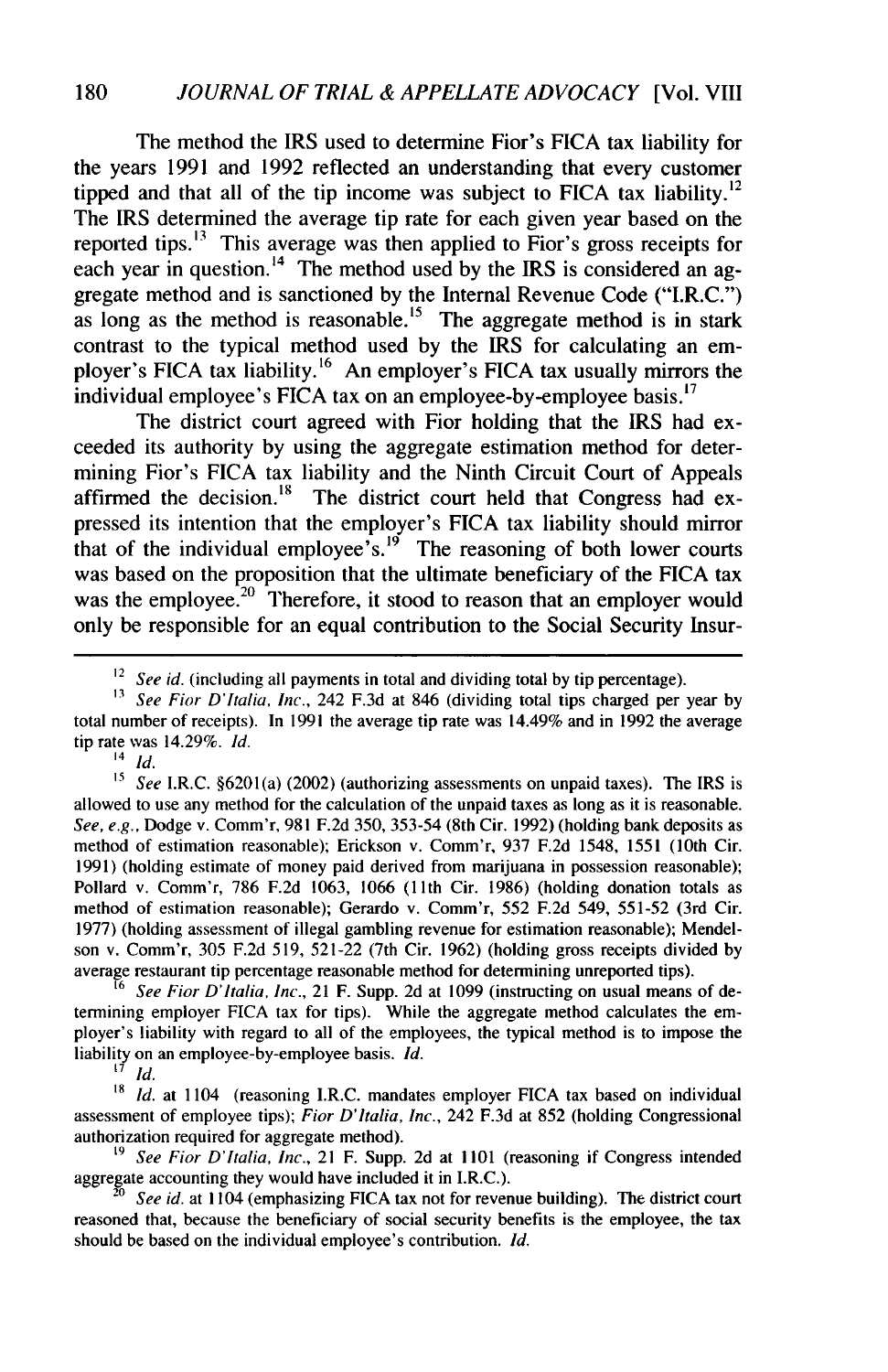The method the IRS used to determine Fior's FICA tax liability for the years 1991 and 1992 reflected an understanding that every customer tipped and that all of the tip income was subject to FICA tax liability.<sup>12</sup> The IRS determined the average tip rate for each given year based on the reported tips.13 This average was then applied to Fior's gross receipts for each year in question.<sup>14</sup> The method used by the IRS is considered an aggregate method and is sanctioned by the Internal Revenue Code ("I.R.C.") as long as the method is reasonable.<sup>15</sup> The aggregate method is in stark contrast to the typical method used by the IRS for calculating an employer's FICA tax liability.<sup>16</sup> An employer's FICA tax usually mirrors the individual employee's FICA tax on an employee-by-employee basis.<sup>17</sup>

The district court agreed with Fior holding that the IRS had exceeded its authority by using the aggregate estimation method for determining Fior's FICA tax liability and the Ninth Circuit Court of Appeals affirmed the decision.<sup>18</sup> The district court held that Congress had expressed its intention that the employer's **FICA** tax liability should mirror that of the individual employee's.<sup>19</sup> The reasoning of both lower courts was based on the proposition that the ultimate beneficiary of the **FICA** tax was the employee.<sup>20</sup> Therefore, it stood to reason that an employer would only be responsible for an equal contribution to the Social Security Insur-

 $\frac{14}{15}$  *Id.* 

*See I.R.C.* §6201(a) (2002) (authorizing assessments on unpaid taxes). The IRS is allowed to use any method for the calculation of the unpaid taxes as long as it is reasonable. *See, e.g.,* Dodge v. Comm'r, **981 F.2d 350, 353-54** (8th Cir. **1992)** (holding bank deposits as method of estimation reasonable); Erickson v. Comm'r, **937 F.2d** 1548, **1551** (10th Cir. **1991)** (holding estimate of money paid derived from marijuana in possession reasonable); Pollard v. Comm'r, **786 F.2d 1063, 1066 (11** th Cir. **1986)** (holding donation totals as method of estimation reasonable); Gerardo v. Comm'r, **552 F.2d** 549, **551-52** (3rd Cir. **1977)** (holding assessment of illegal gambling revenue for estimation reasonable); Mendelson v. Comm'r, **305 F.2d 519, 521-22** (7th Cir. **1962)** (holding gross receipts divided **by** average restaurant tip percentage reasonable method for determining unreported tips).

*See Fior D'Italia, Inc., 21 F. Supp. 2d at 1099 (instructing on usual means of de*termining employer **FICA** tax for tips). While the aggregate method calculates the employer's liability with regard to all of the employees, the typical method is to impose the liability on an employee-by-employee basis. *Id.*

**17** *Id.*

18 *Id.* at 1104 (reasoning I.R.C. mandates employer **FICA** tax based on individual assessment of employee tips); *Fior D'ltalia, Inc.,* 242 **F.3d** at **852** (holding Congressional authorization required for aggregate method).

*19 See Fior D'Italia, Inc.,* 21 F. Supp. **2d** at **1101** (reasoning if Congress intended aggregate accounting they would have included it in I.R.C.).

See id. at 1104 (emphasizing FICA tax not for revenue building). The district court reasoned that, because the beneficiary of social security benefits is the employee, the tax should be based on the individual employee's contribution. *Id.*

<sup>&</sup>lt;sup>12</sup> *See id.* (including all payments in total and dividing total by tip percentage).

*<sup>13</sup> See Fior* D'Italia, *Inc.,* 242 **F.3d** at 846 (dividing total tips charged per year **by** total number of receipts). In **1991** the average tip rate was 14.49% and in **1992** the average tip rate was 14.29%. *Id.*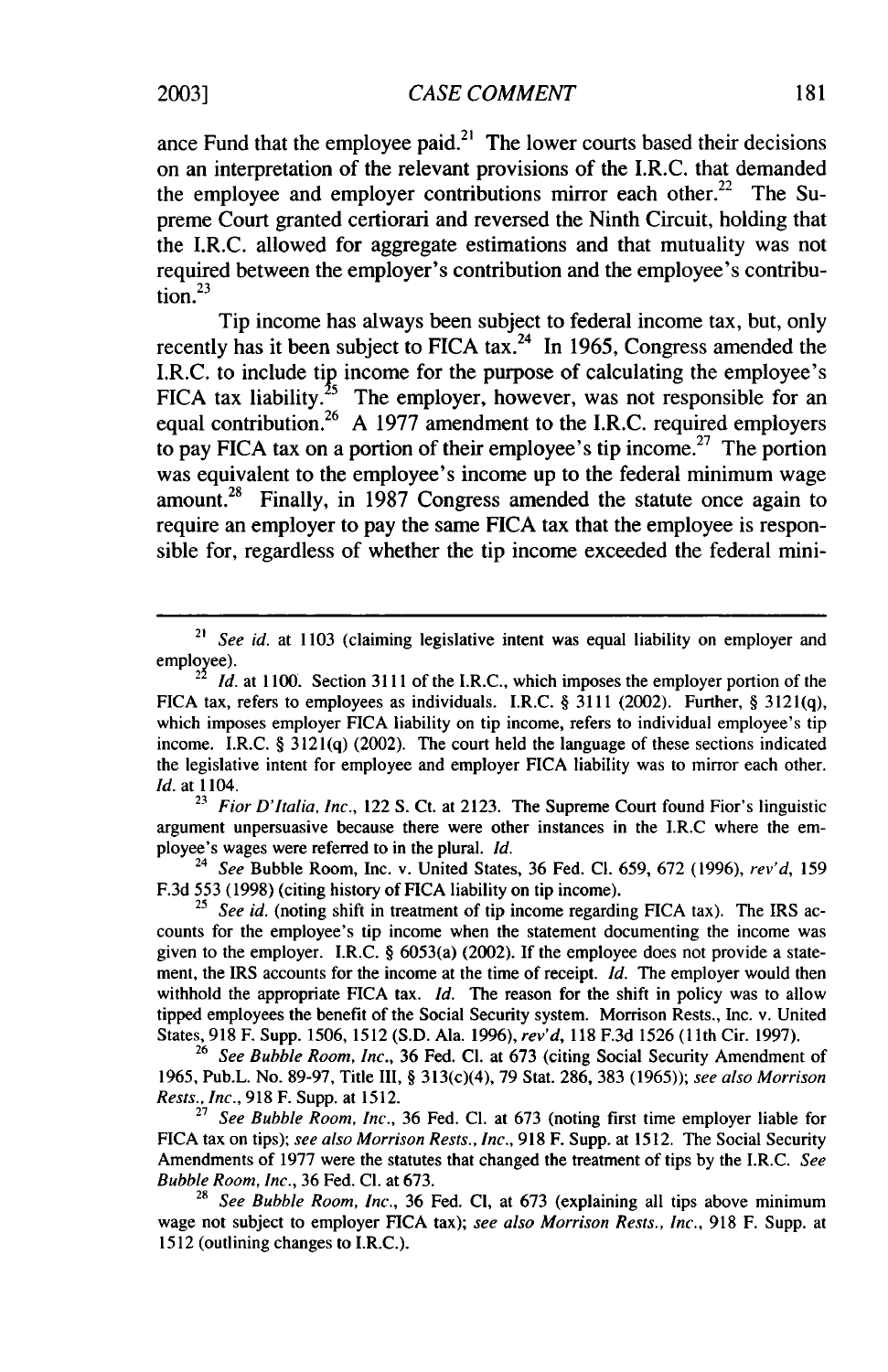ance Fund that the employee paid.<sup>21</sup> The lower courts based their decisions on an interpretation of the relevant provisions of the I.R.C. that demanded the employee and employer contributions mirror each other.<sup>22</sup> The Supreme Court granted certiorari and reversed the Ninth Circuit, holding that the I.R.C. allowed for aggregate estimations and that mutuality was not required between the employer's contribution and the employee's contribu-

Tip income has always been subject to federal income tax, but, only recently has it been subject to FICA tax.<sup>24</sup> In 1965, Congress amended the I.R.C. to include tip income for the purpose of calculating the employee's FICA tax liability.<sup>25</sup> The employer, however, was not responsible for an equal contribution.<sup>26</sup> A 1977 amendment to the I.R.C. required employers to pay FICA tax on a portion of their employee's tip income.<sup>27</sup> The portion was equivalent to the employee's income up to the federal minimum wage amount.<sup>28</sup> Finally, in 1987 Congress amended the statute once again to require an employer to pay the same FICA tax that the employee is responsible for, regardless of whether the tip income exceeded the federal mini-

*<sup>23</sup>Fior D'Italia, Inc.,* 122 S. Ct. at 2123. The Supreme Court found Fior's linguistic argument unpersuasive because there were other instances in the I.R.C where the employee's wages were referred to in the plural. *Id.*

<sup>24</sup>*See* Bubble Room, Inc. v. United States, 36 Fed. **Cl.** 659, 672 (1996), *rev'd,* <sup>159</sup> F.3d 553 (1998) (citing history of FICA liability on tip income).

25 *See id.* (noting shift in treatment of tip income regarding FICA tax). The IRS accounts for the employee's tip income when the statement documenting the income was given to the employer. I.R.C. § 6053(a) (2002). If the employee does not provide a statement, the IRS accounts for the income at the time of receipt. *Id.* The employer would then withhold the appropriate **FICA** tax. *Id.* The reason for the shift in policy was to allow tipped employees the benefit of the Social Security system. Morrison Rests., Inc. v. United States, 918 F. Supp. 1506, 1512 (S.D. Ala. 1996), *rev'd,* 118 F.3d 1526 (1 1th Cir. 1997).

<sup>26</sup>*See Bubble Room, Inc.,* 36 Fed. **Cl.** at 673 (citing Social Security Amendment of 1965, Pub.L. No. 89-97, Title III, § 313(c)(4), 79 Stat. 286, 383 (1965)); *see also Morrison Rests., Inc.,* 918 F. Supp. at 1512.

27 *See Bubble Room, Inc.,* 36 Fed. **Cl.** at 673 (noting first time employer liable for FICA tax on tips); *see also Morrison Rests., Inc.,* 918 F. Supp. at 1512. The Social Security Amendments of 1977 were the statutes that changed the treatment of tips by the I.R.C. *See* Bubble *Room, Inc.,* 36 Fed. **Cl.** at 673.

28 *See Bubble Room, Inc.,* 36 Fed. **Cl,** at 673 (explaining all tips above minimum wage not subject to employer FICA tax); *see also Morrison Rests., Inc.,* 918 F. Supp. at 1512 (outlining changes to I.R.C.).

tion. $^{23}$ 

<sup>&</sup>lt;sup>21</sup> *See id.* at 1103 (claiming legislative intent was equal liability on employer and employee).

 $\mu^2$  *Id.* at 1100. Section 3111 of the I.R.C., which imposes the employer portion of the FICA tax, refers to employees as individuals. I.R.C. § 3111 (2002). Further, § 3121(q), which imposes employer FICA liability on tip income, refers to individual employee's tip income. I.R.C. § 3121(q) (2002). The court held the language of these sections indicated the legislative intent for employee and employer FICA liability was to mirror each other. *Id.* at 1104.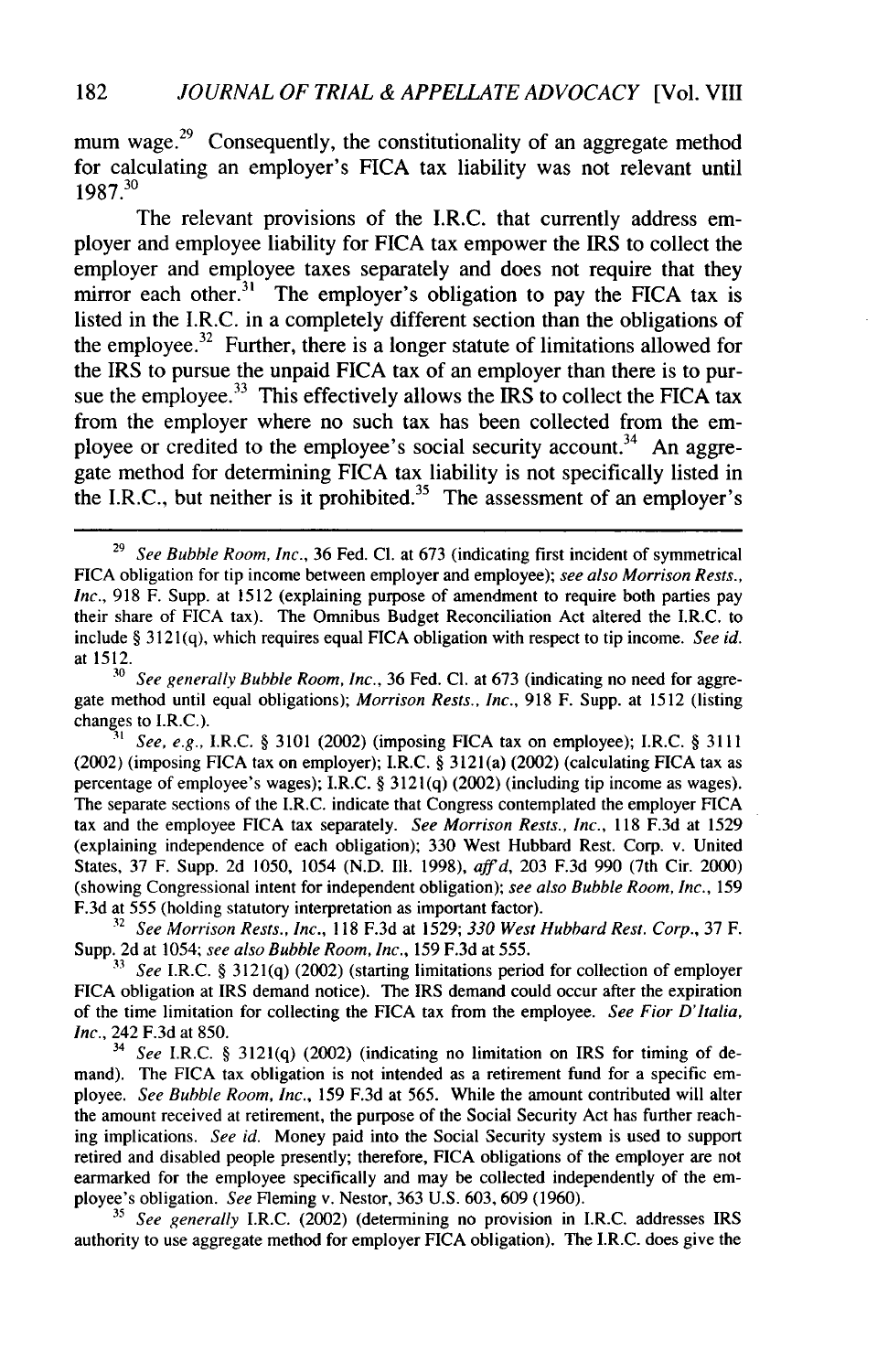mum wage. $^{29}$  Consequently, the constitutionality of an aggregate method for calculating an employer's FICA tax liability was not relevant until 1987.30

The relevant provisions of the I.R.C. that currently address employer and employee liability for FICA tax empower the IRS to collect the employer and employee taxes separately and does not require that they mirror each other.<sup>31</sup> The employer's obligation to pay the FICA tax is listed in the I.R.C. in a completely different section than the obligations of the employee.<sup>32</sup> Further, there is a longer statute of limitations allowed for the IRS to pursue the unpaid FICA tax of an employer than there is to pursue the employee.<sup>33</sup> This effectively allows the IRS to collect the FICA tax from the employer where no such tax has been collected from the employee or credited to the employee's social security account.<sup>34</sup> An aggregate method for determining FICA tax liability is not specifically listed in the I.R.C., but neither is it prohibited.<sup>35</sup> The assessment of an employer's

32 *See Morrison Rests., Inc.,* 118 F.3d at 1529; *330 West Hubbard Rest. Corp.,* 37 F. Supp. 2d at 1054; *see also Bubble Room, Inc.,* 159 F.3d at 555.

**<sup>31</sup>***See* I.R.C. § 3121(q) (2002) (starting limitations period for collection of employer FICA obligation at IRS demand notice). The IRS demand could occur after the expiration of the time limitation for collecting the FICA tax from the employee. *See Fior D'Italia, Inc.*, 242 F.3d at 850.

See I.R.C. § 3121(q) (2002) (indicating no limitation on IRS for timing of demand). The FICA tax obligation is not intended as a retirement fund for a specific employee. *See Bubble Room, Inc.,* 159 F.3d at 565. While the amount contributed will alter the amount received at retirement, the purpose of the Social Security Act has further reaching implications. *See id.* Money paid into the Social Security system is used to support retired and disabled people presently; therefore, FICA obligations of the employer are not earmarked for the employee specifically and may be collected independently of the employee's obligation. *See* Fleming v. Nestor, 363 U.S. 603, 609 (1960).

**<sup>35</sup>***See generally* I.R.C. (2002) (determining no provision in I.R.C. addresses IRS authority to use aggregate method for employer FICA obligation). The I.R.C. does give the

<sup>29</sup> *See Bubble Room, Inc.,* 36 Fed. **Cl.** at 673 (indicating first incident of symmetrical FICA obligation for tip income between employer and employee); *see also Morrison Rests., Inc.,* 918 F. Supp. at 1512 (explaining purpose of amendment to require both parties pay their share of FICA tax). The Omnibus Budget Reconciliation Act altered the I.R.C. to include § 3121(q), which requires equal FICA obligation with respect to tip income. *See id.* at **1512.**

<sup>30</sup> *See generally Bubble Room, Inc.,* 36 Fed. **Cl.** at 673 (indicating no need for aggregate method until equal obligations); *Morrison Rests., Inc.,* 918 F. Supp. at 1512 (listing changes to I.R.C.).

*<sup>31</sup> See, e.g.,* I.R.C. § 3101 (2002) (imposing FICA tax on employee); I.R.C. § 3111 (2002) (imposing FICA tax on employer); I.R.C. § 3121(a) (2002) (calculating FICA tax as percentage of employee's wages); I.R.C. § 3121(q) (2002) (including tip income as wages). The separate sections of the I.R.C. indicate that Congress contemplated the employer FICA tax and the employee FICA tax separately. *See Morrison Rests., Inc.,* 118 F.3d at 1529 (explaining independence of each obligation); 330 West Hubbard Rest. Corp. v. United States, 37 F. Supp. 2d 1050, 1054 (N.D. Ill. 1998), *affd,* 203 F.3d 990 (7th Cir. 2000) (showing Congressional intent for independent obligation); *see also Bubble Room, Inc.,* 159 F.3d at 555 (holding statutory interpretation as important factor).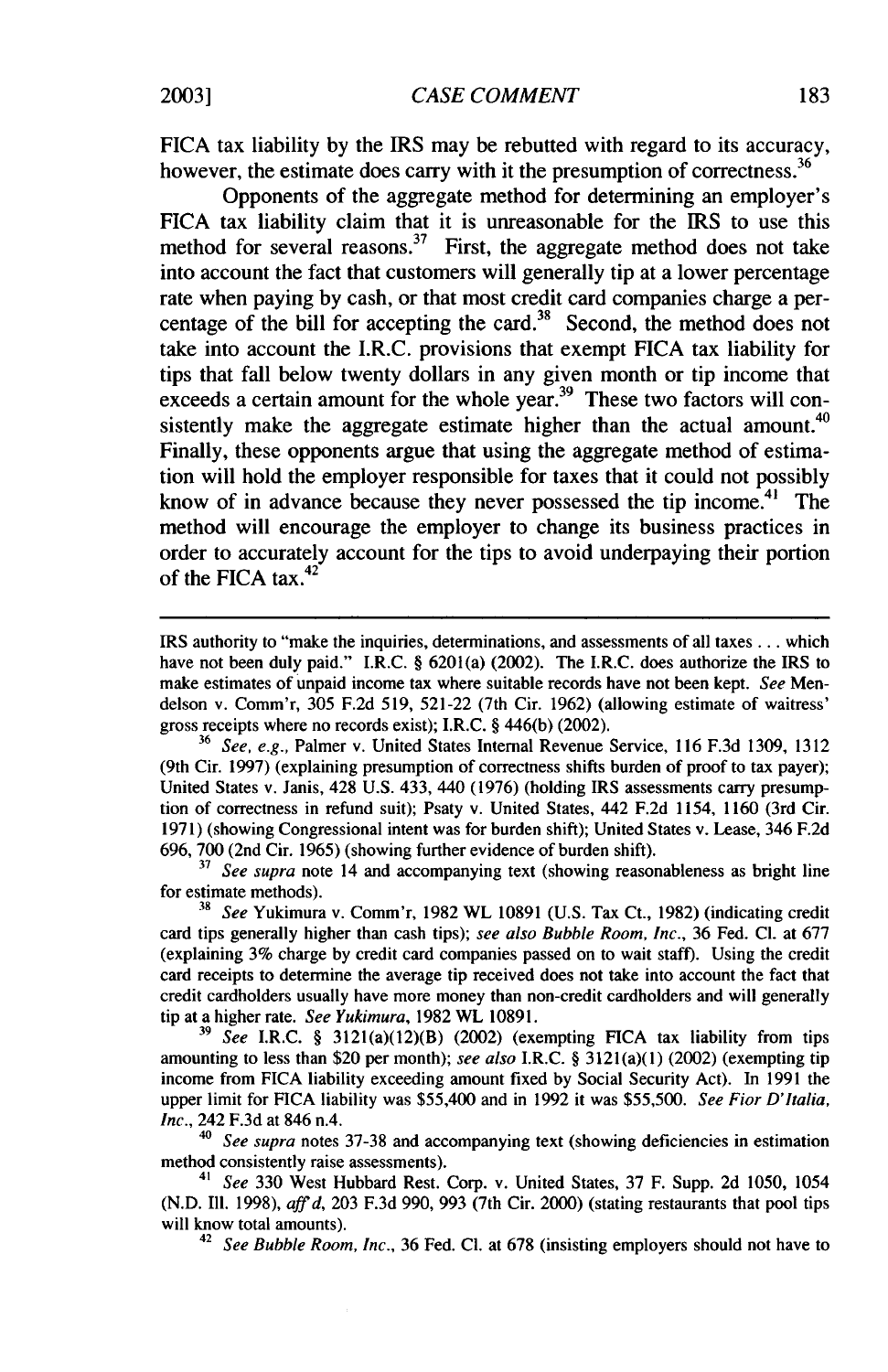*CASE COMMENT*

FICA tax liability by the IRS may be rebutted with regard to its accuracy, however, the estimate does carry with it the presumption of correctness.<sup>36</sup>

Opponents of the aggregate method for determining an employer's FICA tax liability claim that it is unreasonable for the IRS to use this method for several reasons.<sup>37</sup> First, the aggregate method does not take into account the fact that customers will generally tip at a lower percentage rate when paying by cash, or that most credit card companies charge a percentage of the bill for accepting the card.<sup>38</sup> Second, the method does not take into account the I.R.C. provisions that exempt FICA tax liability for tips that fall below twenty dollars in any given month or tip income that exceeds a certain amount for the whole year.<sup>39</sup> These two factors will consistently make the aggregate estimate higher than the actual amount.<sup>40</sup> Finally, these opponents argue that using the aggregate method of estimation will hold the employer responsible for taxes that it could not possibly know of in advance because they never possessed the tip income.<sup>41</sup> The method will encourage the employer to change its business practices in order to accurately account for the tips to avoid underpaying their portion of the FICA tax. $42$ 

**<sup>37</sup>***See supra* note 14 and accompanying text (showing reasonableness as bright line for estimate methods).

**<sup>38</sup>***See* Yukimura v. Comm'r, 1982 WL 10891 (U.S. Tax Ct., 1982) (indicating credit card tips generally higher than cash tips); *see also Bubble Room, Inc.,* 36 Fed. **Cl.** at 677 (explaining 3% charge by credit card companies passed on to wait staff). Using the credit card receipts to determine the average tip received does not take into account the fact that credit cardholders usually have more money than non-credit cardholders and will generally tip at a higher rate. *See Yukimura,* 1982 WL 10891.

**<sup>39</sup>***See* I.R.C. § 3121(a)(12)(B) (2002) (exempting FICA tax liability from tips amounting to less than \$20 per month); *see also* I.R.C. § 3121(a)(1) (2002) (exempting tip income from FICA liability exceeding amount fixed by Social Security Act). In 1991 the upper limit for **FICA** liability was \$55,400 and in 1992 it was \$55,500. *See Fior D'Italia, Inc.,* 242 F.3d at 846 n.4.

*<sup>40</sup>See supra* notes 37-38 and accompanying text (showing deficiencies in estimation method consistently raise assessments).

*<sup>41</sup>See* 330 West Hubbard Rest. Corp. v. United States, 37 F. Supp. 2d 1050, 1054 (N.D. Ill. 1998), *affd,* 203 F.3d 990, 993 (7th Cir. 2000) (stating restaurants that pool tips will know total amounts).

**<sup>42</sup>***See Bubble Room, Inc.,* 36 Fed. **Cl.** at 678 (insisting employers should not have to

IRS authority to "make the inquiries, determinations, and assessments of all taxes.., which have not been duly paid." I.R.C. § 6201(a) (2002). The I.R.C. does authorize the IRS to make estimates of unpaid income tax where suitable records have not been kept. *See* Mendelson v. Comm'r, 305 F.2d 519, 521-22 (7th Cir. 1962) (allowing estimate of waitress' gross receipts where no records exist); I.R.C. § 446(b) (2002).

**<sup>36</sup>***See, e.g.,* Palmer v. United States Internal Revenue Service, 116 F.3d 1309, 1312 (9th Cir. 1997) (explaining presumption of correctness shifts burden of proof to tax payer); United States v. Janis, 428 U.S. 433, 440 (1976) (holding IRS assessments carry presumption of correctness in refund suit); Psaty v. United States, 442 F.2d 1154, 1160 (3rd Cir. 1971) (showing Congressional intent was for burden shift); United States v. Lease, 346 F.2d 696, 700 (2nd Cir. 1965) (showing further evidence of burden shift).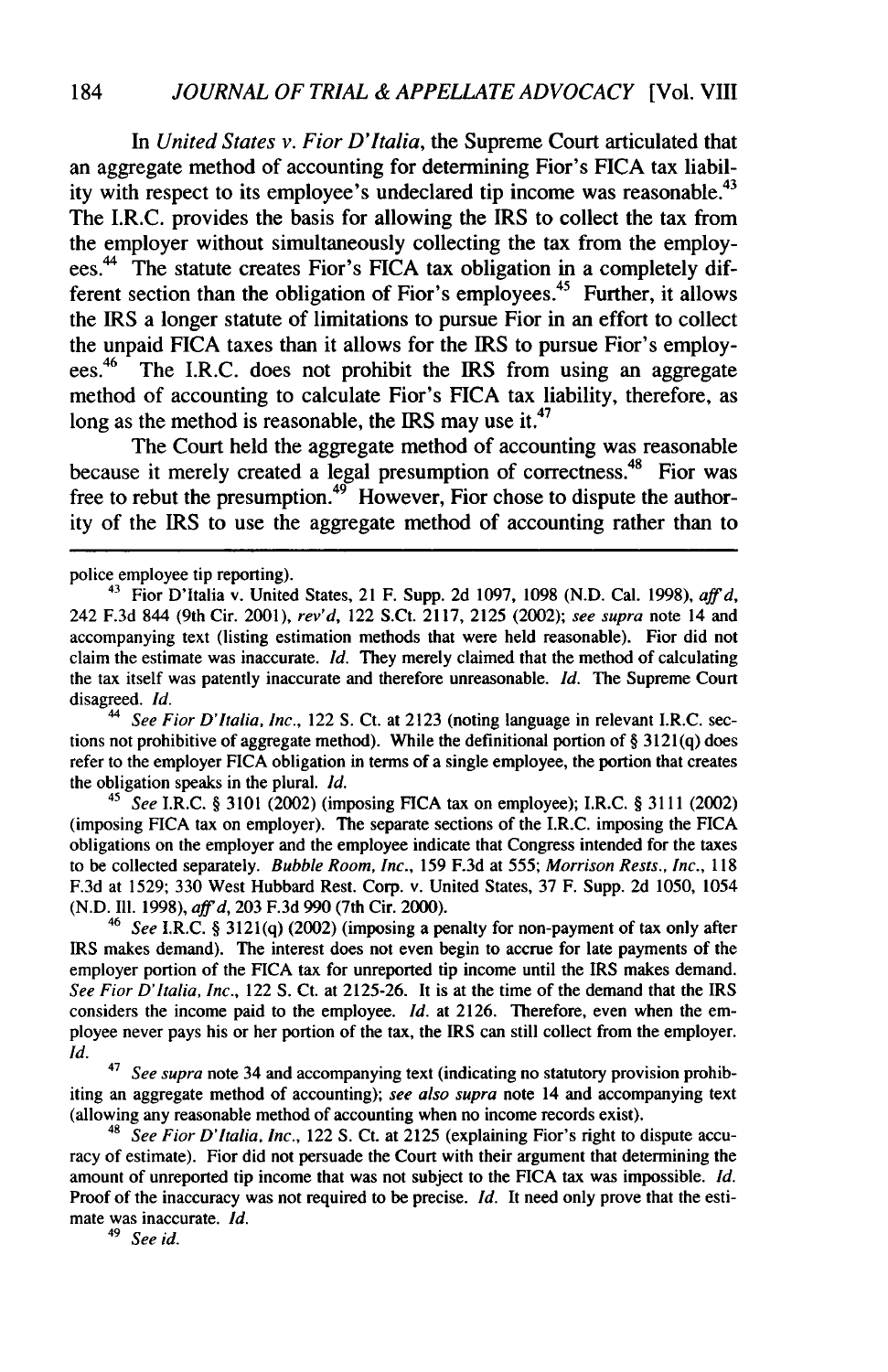*In United States v. Fior D'Italia,* the Supreme Court articulated that an aggregate method of accounting for determining Fior's FICA tax liability with respect to its employee's undeclared tip income was reasonable.<sup>43</sup> The I.R.C. provides the basis for allowing the IRS to collect the tax from the employer without simultaneously collecting the tax from the employees.44 The statute creates Fior's **FICA** tax obligation in a completely different section than the obligation of Fior's employees.<sup>45</sup> Further, it allows the IRS a longer statute of limitations to pursue Fior in an effort to collect the unpaid FICA taxes than it allows for the IRS to pursue Fior's employees.<sup>46</sup> The I.R.C. does not prohibit the IRS from using an aggregate method of accounting to calculate Fior's **FICA** tax liability, therefore, as long as the method is reasonable, the IRS may use it.<sup>47</sup>

The Court held the aggregate method of accounting was reasonable because it merely created a legal presumption of correctness.<sup>48</sup> Fior was free to rebut the presumption.<sup>49</sup> However, Fior chose to dispute the authority of the IRS to use the aggregate method of accounting rather than to

<sup>41</sup>*See* I.R.C. § 3101 (2002) (imposing **FICA** tax on employee); I.R.C. § 3111 (2002) (imposing FICA tax on employer). The separate sections of the I.R.C. imposing the FICA obligations on the employer and the employee indicate that Congress intended for the taxes to be collected separately. *Bubble Room, Inc.,* 159 F.3d at 555; *Morrison Rests., Inc.,* <sup>118</sup> F.3d at 1529; 330 West Hubbard Rest. Corp. v. United States, 37 F. Supp. 2d 1050, 1054 (N.D. Ill. 1998), *affd,* 203 F.3d 990 (7th Cir. 2000).

<sup>46</sup>*See* I.R.C. § 3121(q) (2002) (imposing a penalty for non-payment of tax only after IRS makes demand). The interest does not even begin to accrue for late payments of the employer portion of the **FICA** tax for unreported tip income until the IRS makes demand. *See Fior D'Italia, Inc.,* 122 **S.** Ct. at 2125-26. It is at the time of the demand that the IRS considers the income paid to the employee. *Id.* at 2126. Therefore, even when the employee never pays his or her portion of the tax, the IRS can still collect from the employer. *Id.*

**47** *See supra* note 34 and accompanying text (indicating no statutory provision prohibiting an aggregate method of accounting); *see also supra* note 14 and accompanying text (allowing any reasonable method of accounting when no income records exist).

*48 See Fior D'Italia, Inc.,* 122 **S.** Ct. at 2125 (explaining Fior's right to dispute accuracy of estimate). Fior did not persuade the Court with their argument that determining the amount of unreported tip income that was not subject to the FICA tax was impossible. *Id.* Proof of the inaccuracy was not required to be precise. *Id.* It need only prove that the estimate was inaccurate. *Id.*

*49 See id.*

police employee tip reporting).

<sup>43</sup>Fior D'Italia v. United States, 21 F. Supp. 2d 1097, 1098 (N.D. Cal. 1998), *affd,* 242 F.3d 844 (9th Cir. 2001), *rev'd,* 122 S.Ct. 2117, 2125 (2002); *see supra* note 14 and accompanying text (listing estimation methods that were held reasonable). Fior did not claim the estimate was inaccurate. *Id.* They merely claimed that the method of calculating the tax itself was patently inaccurate and therefore unreasonable. *Id.* The Supreme Court disagreed. *Id.*

<sup>&</sup>lt;sup>44</sup> *See Fior D'Italia, Inc., 122 S. Ct. at 2123 (noting language in relevant I.R.C. sec*tions not prohibitive of aggregate method). While the definitional portion of § 3121(q) does refer to the employer FICA obligation in terms of a single employee, the portion that creates the obligation speaks in the plural. *Id.*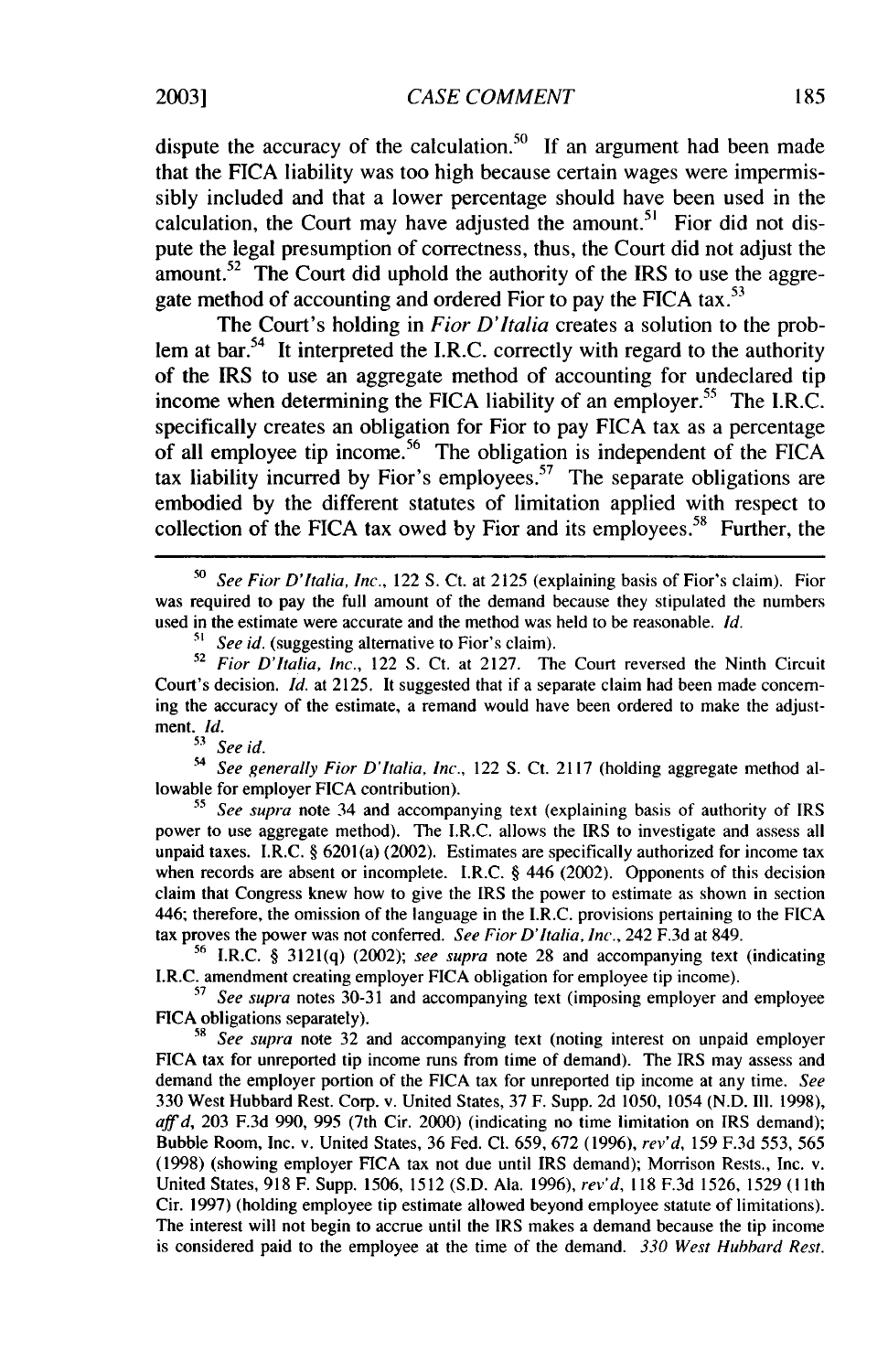dispute the accuracy of the calculation.<sup>50</sup> If an argument had been made that the FICA liability was too high because certain wages were impermissibly included and that a lower percentage should have been used in the calculation, the Court may have adjusted the amount.<sup>51</sup> Fior did not dispute the legal presumption of correctness, thus, the Court did not adjust the amount.<sup>52</sup> The Court did uphold the authority of the IRS to use the aggregate method of accounting and ordered Fior to pay the FICA **tax. <sup>53</sup>**

The Court's holding in *Fior D'Italia* creates a solution to the problem at bar.<sup>54</sup> It interpreted the I.R.C. correctly with regard to the authority of the IRS to use an aggregate method of accounting for undeclared tip income when determining the FICA liability of an employer.<sup>55</sup> The I.R.C. specifically creates an obligation for Fior to pay FICA tax as a percentage of all employee tip income.<sup>56</sup> The obligation is independent of the FICA tax liability incurred by Fior's employees.<sup>57</sup> The separate obligations are embodied by the different statutes of limitation applied with respect to collection of the FICA tax owed by Fior and its employees.<sup>58</sup> Further, the

4 *See generally Fior D'Italia, Inc.,* 122 S. Ct. 2117 (holding aggregate method allowable for employer FICA contribution).

**<sup>55</sup>***See supra* note 34 and accompanying text (explaining basis of authority of IRS power to use aggregate method). The I.R.C. allows the IRS to investigate and assess all unpaid taxes. I.R.C. § 6201(a) (2002). Estimates are specifically authorized for income tax when records are absent or incomplete. I.R.C. § 446 (2002). Opponents of this decision claim that Congress knew how to give the IRS the power to estimate as shown in section 446; therefore, the omission of the language in the I.R.C. provisions pertaining to the FICA tax proves the power was not conferred. *See Fior D'Italia, Inc.,* 242 F.3d at 849.

<sup>56</sup> I.R.C. § 3121(q) (2002); *see supra* note 28 and accompanying text (indicating I.R.C. amendment creating employer FICA obligation for employee tip income). *<sup>57</sup>See supra* notes 30-31 and accompanying text (imposing employer and employee

FICA obligations separately).

*-8 See supra* note 32 and accompanying text (noting interest on unpaid employer FICA tax for unreported tip income runs from time of demand). The IRS may assess and demand the employer portion of the FICA tax for unreported tip income at any time. *See* 330 West Hubbard Rest. Corp. v. United States, 37 F. Supp. 2d 1050, 1054 (N.D. **I11.** 1998), *affd,* 203 F.3d 990, 995 (7th Cir. 2000) (indicating no time limitation on IRS demand); Bubble Room, Inc. v. United States, 36 Fed. **Cl.** 659, 672 (1996), *rev'd,* 159 F.3d 553, 565 (1998) (showing employer **FICA** tax not due until IRS demand); Morrison Rests., Inc. v. United States, 918 F. Supp. 1506, 1512 (S.D. Ala. 1996), *rev'd,* 118 F.3d 1526, 1529 **(1** lth Cir. 1997) (holding employee tip estimate allowed beyond employee statute of limitations). The interest will not begin to accrue until the IRS makes a demand because the tip income is considered paid to the employee at the time of the demand. *330 West Hubbard Rest.*

*<sup>50</sup>*See Fior D'Italia, *Inc.,* 122 S. Ct. at 2125 (explaining basis of Fior's claim). Fior was required to pay the full amount of the demand because they stipulated the numbers used in the estimate were accurate and the method was held to be reasonable. *Id.*

<sup>&</sup>lt;sup>51</sup> See id. (suggesting alternative to Fior's claim).

<sup>52</sup>*Fior D'Italia,* Inc., 122 S. Ct. at 2127. The Court reversed the Ninth Circuit Court's decision. *Id.* at 2125. It suggested that if a separate claim had been made concerning the accuracy of the estimate, a remand would have been ordered to make the adjustment. *Id.*

*<sup>&</sup>quot; See id.*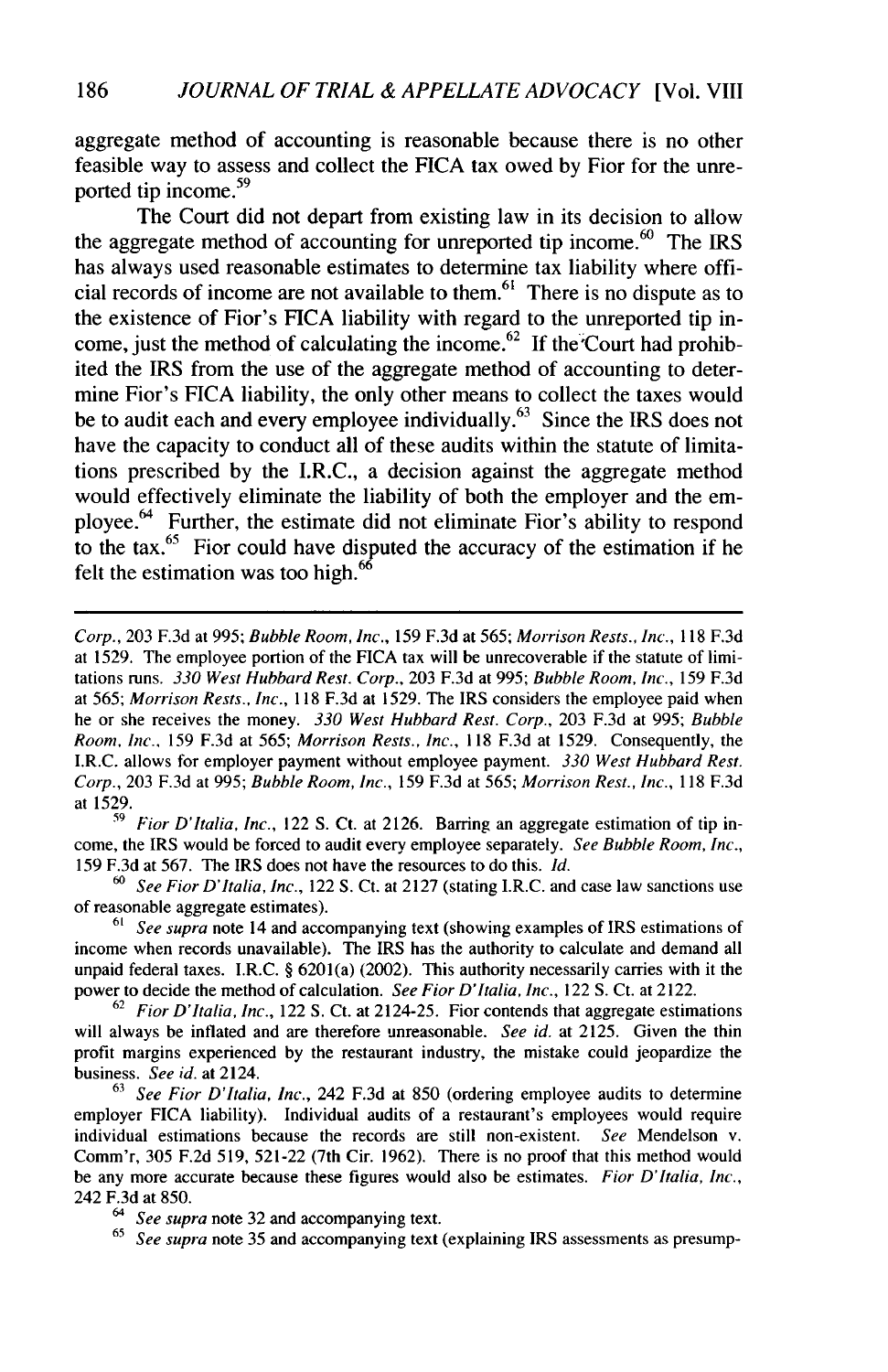aggregate method of accounting is reasonable because there is no other feasible way to assess and collect the FICA tax owed by Fior for the unreported tip income.<sup>59</sup>

The Court did not depart from existing law in its decision to allow the aggregate method of accounting for unreported tip income.<sup>60</sup> The IRS has always used reasonable estimates to determine tax liability where official records of income are not available to them.<sup>61</sup> There is no dispute as to the existence of Fior's FICA liability with regard to the unreported tip income, just the method of calculating the income.<sup>62</sup> If the Court had prohibited the IRS from the use of the aggregate method of accounting to determine Fior's FICA liability, the only other means to collect the taxes would be to audit each and every employee individually.<sup>63</sup> Since the IRS does not have the capacity to conduct all of these audits within the statute of limitations prescribed by the I.R.C., a decision against the aggregate method would effectively eliminate the liability of both the employer and the employee.<sup>64</sup> Further, the estimate did not eliminate Fior's ability to respond to the tax. $^{65}$  Fior could have disputed the accuracy of the estimation if he felt the estimation was too high.<sup>66</sup>

*59 Fior D'Italia, Inc.,* 122 S. Ct. at 2126. Barring an aggregate estimation of tip income, the IRS would be forced to audit every employee separately. *See Bubble Room, Inc.,* 159 F.3d at 567. The IRS does not have the resources to do this. *Id.*

*<sup>60</sup>See Fior D'Italia, Inc.,* 122 S. Ct. at 2127 (stating I.R.C. and case law sanctions use of reasonable aggregate estimates).

61 *See supra* note 14 and accompanying text (showing examples of IRS estimations of income when records unavailable). The IRS has the authority to calculate and demand all unpaid federal taxes. I.R.C. § 6201(a) (2002). This authority necessarily carries with it the power to decide the method of calculation. *See Fior D'Italia, Inc.,* 122 S. Ct. at 2122.

62 *Fior D'Italia, Inc.,* 122 **S.** Ct. at 2124-25. Fior contends that aggregate estimations will always be inflated and are therefore unreasonable. *See id.* at 2125. Given the thin profit margins experienced by the restaurant industry, the mistake could jeopardize the business. *See id.* at 2124.

63 *See Fior D'Italia, Inc.,* 242 F.3d at 850 (ordering employee audits to determine employer FICA liability). Individual audits of a restaurant's employees would require individual estimations because the records are still non-existent. *See* Mendelson v. Comm'r, 305 F.2d 519, 521-22 (7th Cir. 1962). There is no proof that this method would be any more accurate because these figures would also be estimates. *Fior D'Italia, Inc.,* 242 F.3d at 850.

*Corp.,* 203 F.3d at 995; Bubble Room, *Inc.,* 159 F.3d at 565; Morrison Rests., Inc., 118 F.3d at 1529. The employee portion of the FICA tax will be unrecoverable if the statute of limitations runs. *330 West Hubbard Rest. Corp.,* 203 F.3d at 995; *Bubble Room, Inc.,* 159 F.3d at 565; Morrison Rests., *Inc.,* 118 F.3d at 1529. The IRS considers the employee paid when he or she receives the money. *330 West Hubbard Rest. Corp.,* 203 F.3d at 995; *Bubble* Room, Inc., 159 F.3d at 565; *Morrison Rests., Inc.,* 118 F.3d at 1529. Consequently, the I.R.C. allows for employer payment without employee payment. *330 West Hubbard Rest. Corp.,* 203 F.3d at 995; *Bubble Room, Inc.,* 159 F.3d at 565; *Morrison Rest., Inc.,* 118 F.3d at 1529.

<sup>64</sup> *See supra* note 32 and accompanying text.

<sup>65</sup> *See supra* note 35 and accompanying text (explaining IRS assessments as presump-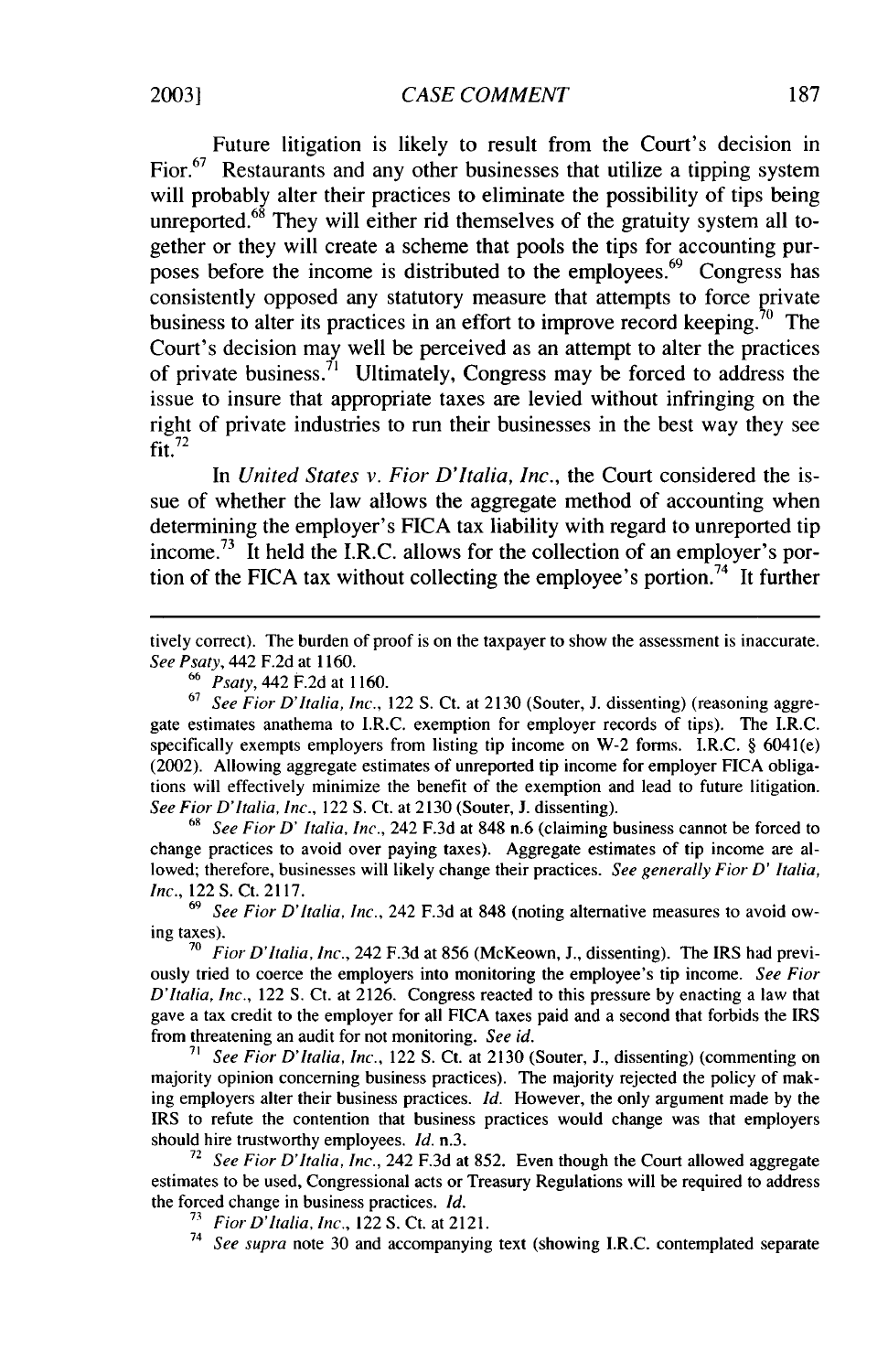Future litigation is likely to result from the Court's decision in Fior.<sup>67</sup> Restaurants and any other businesses that utilize a tipping system will probably alter their practices to eliminate the possibility of tips being unreported. $68$  They will either rid themselves of the gratuity system all together or they will create a scheme that pools the tips for accounting purposes before the income is distributed to the employees.<sup>69</sup> Congress has consistently opposed any statutory measure that attempts to force private business to alter its practices in an effort to improve record keeping.<sup>70</sup> The Court's decision may well be perceived as an attempt to alter the practices of private business.<sup>71</sup> Ultimately, Congress may be forced to address the issue to insure that appropriate taxes are levied without infringing on the right of private industries to run their businesses in the best way they see  $\frac{1}{2}$ fit.<sup>72</sup>

In *United States v. Fior D'Italia, Inc.,* the Court considered the issue of whether the law allows the aggregate method of accounting when determining the employer's FICA tax liability with regard to unreported tip income.<sup>73</sup> It held the I.R.C. allows for the collection of an employer's portion of the FICA tax without collecting the employee's portion.<sup>74</sup> It further

tively correct). The burden of proof is on the taxpayer to show the assessment is inaccurate. *See Psaty,* 442 F.2d at 1160.

**67** *See Fior D'Italia, Inc.,* 122 S. Ct. at 2130 (Souter, **J.** dissenting) (reasoning aggregate estimates anathema to I.R.C. exemption for employer records of tips). The I.R.C. specifically exempts employers from listing tip income on W-2 forms. I.R.C. § 6041(e) (2002). Allowing aggregate estimates of unreported tip income for employer FICA obligations will effectively minimize the benefit of the exemption and lead to future litigation. *See Fior D'Italia, Inc.,* 122 S. Ct. at 2130 (Souter, **J.** dissenting).

**<sup>69</sup>***See Fior D' Italia, Inc.,* 242 F.3d at 848 n.6 (claiming business cannot be forced to change practices to avoid over paying taxes). Aggregate estimates of tip income are allowed; therefore, businesses will likely change their practices. *See generally Fior D' Italia, Inc.,* 122 S. Ct. 2117.

*69 See Fior D'Italia, Inc.,* 242 F.3d at 848 (noting alternative measures to avoid owing taxes).

**70** *Fior D'Italia, Inc.,* 242 F.3d at 856 (McKeown, J., dissenting). The IRS had previously tried to coerce the employers into monitoring the employee's tip income. *See Fior D'Italia, Inc.,* 122 S. Ct. at 2126. Congress reacted to this pressure by enacting a law that gave a tax credit to the employer for all FICA taxes paid and a second that forbids the IRS from threatening an audit for not monitoring. *See id.*

*<sup>71</sup>See Fior D'Italia, Inc.,* 122 S. Ct. at 2130 (Souter, J., dissenting) (commenting on majority opinion concerning business practices). The majority rejected the policy of making employers alter their business practices. *Id.* However, the only argument made by the IRS to refute the contention that business practices would change was that employers should hire trustworthy employees. *Id.* n.3.

**<sup>72</sup>***See Fior D'Italia, Inc.,* 242 F.3d at 852. Even though the Court allowed aggregate estimates to be used, Congressional acts or Treasury Regulations will be required to address the forced change in business practices. *Id.*

**<sup>73</sup>***FiorD'Italia, Inc.,* 122 S. Ct. at 2121.

<sup>74</sup> See supra note 30 and accompanying text (showing I.R.C. contemplated separate

**<sup>66</sup>***Psaty,* 442 F.2d at 1160.